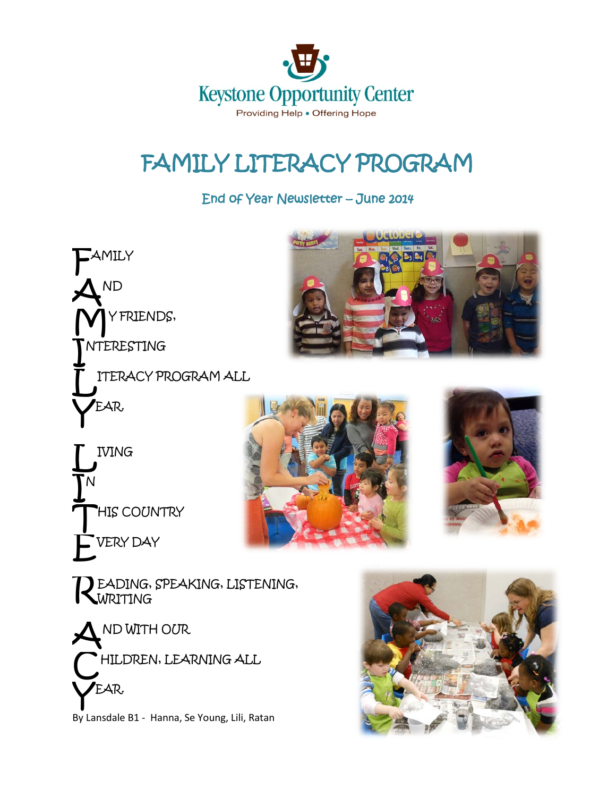

# FAMILY LITERACY PROGRAM

End of Year Newsletter – June 2014









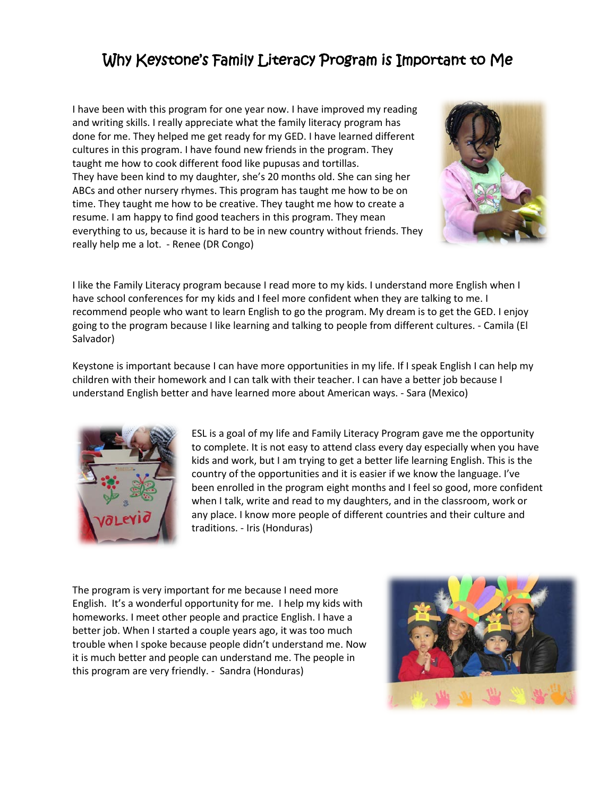### Why Keystone's Family Literacy Program is Important to Me

I have been with this program for one year now. I have improved my reading and writing skills. I really appreciate what the family literacy program has done for me. They helped me get ready for my GED. I have learned different cultures in this program. I have found new friends in the program. They taught me how to cook different food like pupusas and tortillas. They have been kind to my daughter, she's 20 months old. She can sing her ABCs and other nursery rhymes. This program has taught me how to be on time. They taught me how to be creative. They taught me how to create a resume. I am happy to find good teachers in this program. They mean everything to us, because it is hard to be in new country without friends. They really help me a lot. - Renee (DR Congo)



I like the Family Literacy program because I read more to my kids. I understand more English when I have school conferences for my kids and I feel more confident when they are talking to me. I recommend people who want to learn English to go the program. My dream is to get the GED. I enjoy going to the program because I like learning and talking to people from different cultures. - Camila (El Salvador)

Keystone is important because I can have more opportunities in my life. If I speak English I can help my children with their homework and I can talk with their teacher. I can have a better job because I understand English better and have learned more about American ways. - Sara (Mexico)



ESL is a goal of my life and Family Literacy Program gave me the opportunity to complete. It is not easy to attend class every day especially when you have kids and work, but I am trying to get a better life learning English. This is the country of the opportunities and it is easier if we know the language. I've been enrolled in the program eight months and I feel so good, more confident when I talk, write and read to my daughters, and in the classroom, work or any place. I know more people of different countries and their culture and traditions. - Iris (Honduras)

The program is very important for me because I need more English. It's a wonderful opportunity for me. I help my kids with homeworks. I meet other people and practice English. I have a better job. When I started a couple years ago, it was too much trouble when I spoke because people didn't understand me. Now it is much better and people can understand me. The people in this program are very friendly. - Sandra (Honduras)

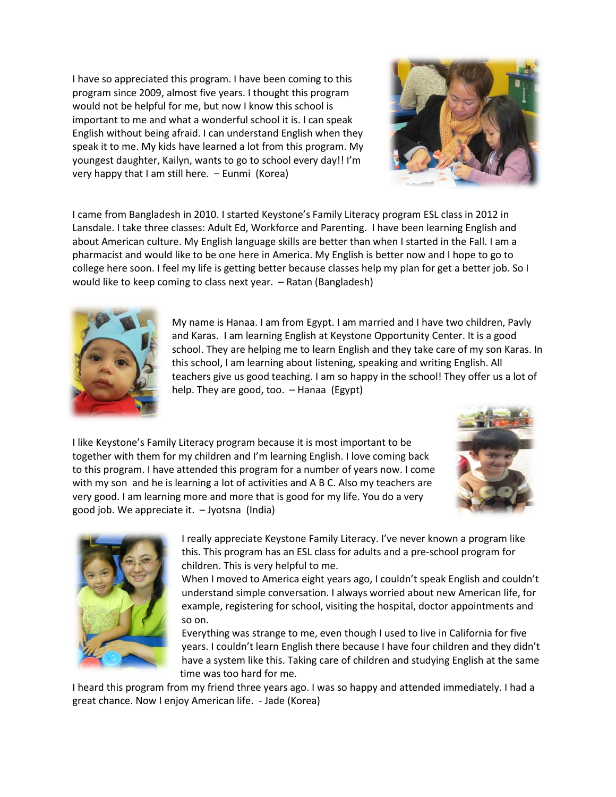I have so appreciated this program. I have been coming to this program since 2009, almost five years. I thought this program would not be helpful for me, but now I know this school is important to me and what a wonderful school it is. I can speak English without being afraid. I can understand English when they speak it to me. My kids have learned a lot from this program. My youngest daughter, Kailyn, wants to go to school every day!! I'm very happy that I am still here. – Eunmi (Korea)



I came from Bangladesh in 2010. I started Keystone's Family Literacy program ESL class in 2012 in Lansdale. I take three classes: Adult Ed, Workforce and Parenting. I have been learning English and about American culture. My English language skills are better than when I started in the Fall. I am a pharmacist and would like to be one here in America. My English is better now and I hope to go to college here soon. I feel my life is getting better because classes help my plan for get a better job. So I would like to keep coming to class next year. – Ratan (Bangladesh)



My name is Hanaa. I am from Egypt. I am married and I have two children, Pavly and Karas. I am learning English at Keystone Opportunity Center. It is a good school. They are helping me to learn English and they take care of my son Karas. In this school, I am learning about listening, speaking and writing English. All teachers give us good teaching. I am so happy in the school! They offer us a lot of help. They are good, too. – Hanaa (Egypt)

I like Keystone's Family Literacy program because it is most important to be together with them for my children and I'm learning English. I love coming back to this program. I have attended this program for a number of years now. I come with my son and he is learning a lot of activities and A B C. Also my teachers are very good. I am learning more and more that is good for my life. You do a very good job. We appreciate it. – Jyotsna (India)





I really appreciate Keystone Family Literacy. I've never known a program like this. This program has an ESL class for adults and a pre-school program for children. This is very helpful to me.

When I moved to America eight years ago, I couldn't speak English and couldn't understand simple conversation. I always worried about new American life, for example, registering for school, visiting the hospital, doctor appointments and so on.

Everything was strange to me, even though I used to live in California for five years. I couldn't learn English there because I have four children and they didn't have a system like this. Taking care of children and studying English at the same time was too hard for me.

I heard this program from my friend three years ago. I was so happy and attended immediately. I had a great chance. Now I enjoy American life. - Jade (Korea)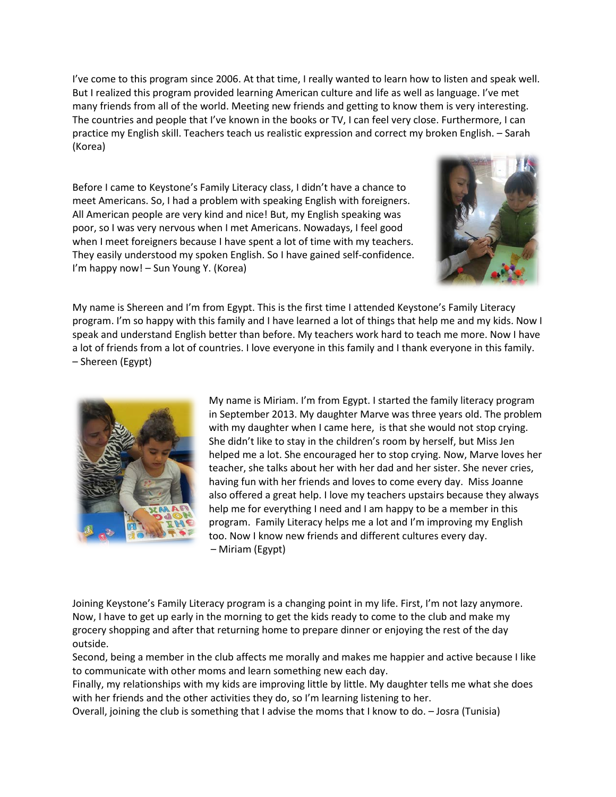I've come to this program since 2006. At that time, I really wanted to learn how to listen and speak well. But I realized this program provided learning American culture and life as well as language. I've met many friends from all of the world. Meeting new friends and getting to know them is very interesting. The countries and people that I've known in the books or TV, I can feel very close. Furthermore, I can practice my English skill. Teachers teach us realistic expression and correct my broken English. – Sarah (Korea)

Before I came to Keystone's Family Literacy class, I didn't have a chance to meet Americans. So, I had a problem with speaking English with foreigners. All American people are very kind and nice! But, my English speaking was poor, so I was very nervous when I met Americans. Nowadays, I feel good when I meet foreigners because I have spent a lot of time with my teachers. They easily understood my spoken English. So I have gained self-confidence. I'm happy now! – Sun Young Y. (Korea)



My name is Shereen and I'm from Egypt. This is the first time I attended Keystone's Family Literacy program. I'm so happy with this family and I have learned a lot of things that help me and my kids. Now I speak and understand English better than before. My teachers work hard to teach me more. Now I have a lot of friends from a lot of countries. I love everyone in this family and I thank everyone in this family. – Shereen (Egypt)



My name is Miriam. I'm from Egypt. I started the family literacy program in September 2013. My daughter Marve was three years old. The problem with my daughter when I came here, is that she would not stop crying. She didn't like to stay in the children's room by herself, but Miss Jen helped me a lot. She encouraged her to stop crying. Now, Marve loves her teacher, she talks about her with her dad and her sister. She never cries, having fun with her friends and loves to come every day. Miss Joanne also offered a great help. I love my teachers upstairs because they always help me for everything I need and I am happy to be a member in this program. Family Literacy helps me a lot and I'm improving my English too. Now I know new friends and different cultures every day. – Miriam (Egypt)

Joining Keystone's Family Literacy program is a changing point in my life. First, I'm not lazy anymore. Now, I have to get up early in the morning to get the kids ready to come to the club and make my grocery shopping and after that returning home to prepare dinner or enjoying the rest of the day outside.

Second, being a member in the club affects me morally and makes me happier and active because I like to communicate with other moms and learn something new each day.

Finally, my relationships with my kids are improving little by little. My daughter tells me what she does with her friends and the other activities they do, so I'm learning listening to her.

Overall, joining the club is something that I advise the moms that I know to do. – Josra (Tunisia)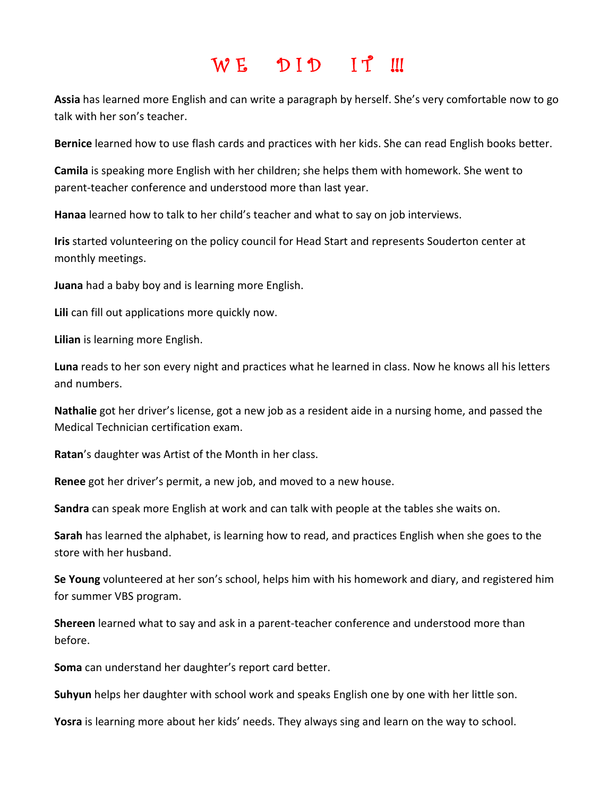### $W E$  DID IT !!!

**Assia** has learned more English and can write a paragraph by herself. She's very comfortable now to go talk with her son's teacher.

**Bernice** learned how to use flash cards and practices with her kids. She can read English books better.

**Camila** is speaking more English with her children; she helps them with homework. She went to parent-teacher conference and understood more than last year.

**Hanaa** learned how to talk to her child's teacher and what to say on job interviews.

**Iris** started volunteering on the policy council for Head Start and represents Souderton center at monthly meetings.

**Juana** had a baby boy and is learning more English.

**Lili** can fill out applications more quickly now.

**Lilian** is learning more English.

**Luna** reads to her son every night and practices what he learned in class. Now he knows all his letters and numbers.

**Nathalie** got her driver's license, got a new job as a resident aide in a nursing home, and passed the Medical Technician certification exam.

**Ratan**'s daughter was Artist of the Month in her class.

**Renee** got her driver's permit, a new job, and moved to a new house.

**Sandra** can speak more English at work and can talk with people at the tables she waits on.

**Sarah** has learned the alphabet, is learning how to read, and practices English when she goes to the store with her husband.

**Se Young** volunteered at her son's school, helps him with his homework and diary, and registered him for summer VBS program.

**Shereen** learned what to say and ask in a parent-teacher conference and understood more than before.

**Soma** can understand her daughter's report card better.

**Suhyun** helps her daughter with school work and speaks English one by one with her little son.

**Yosra** is learning more about her kids' needs. They always sing and learn on the way to school.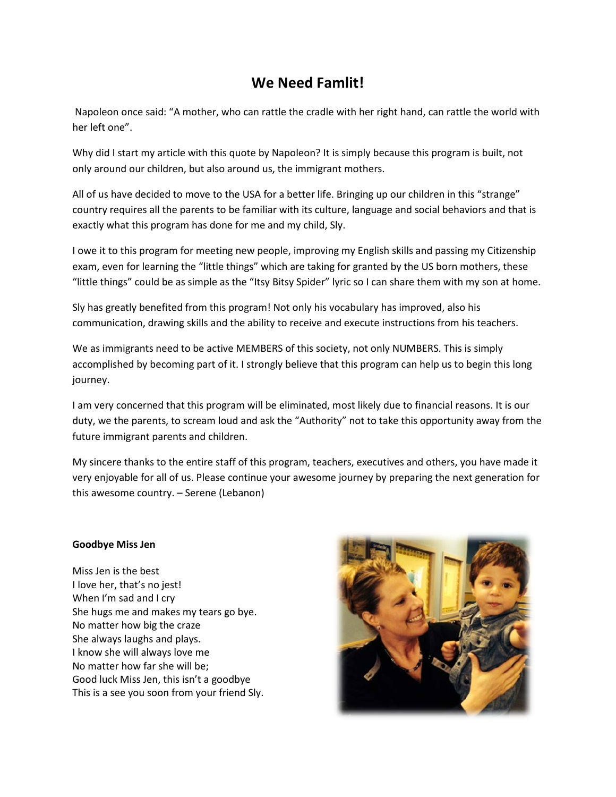#### **We Need Famlit!**

Napoleon once said: "A mother, who can rattle the cradle with her right hand, can rattle the world with her left one".

Why did I start my article with this quote by Napoleon? It is simply because this program is built, not only around our children, but also around us, the immigrant mothers.

All of us have decided to move to the USA for a better life. Bringing up our children in this "strange" country requires all the parents to be familiar with its culture, language and social behaviors and that is exactly what this program has done for me and my child, Sly.

I owe it to this program for meeting new people, improving my English skills and passing my Citizenship exam, even for learning the "little things" which are taking for granted by the US born mothers, these "little things" could be as simple as the "Itsy Bitsy Spider" lyric so I can share them with my son at home.

Sly has greatly benefited from this program! Not only his vocabulary has improved, also his communication, drawing skills and the ability to receive and execute instructions from his teachers.

We as immigrants need to be active MEMBERS of this society, not only NUMBERS. This is simply accomplished by becoming part of it. I strongly believe that this program can help us to begin this long journey.

I am very concerned that this program will be eliminated, most likely due to financial reasons. It is our duty, we the parents, to scream loud and ask the "Authority" not to take this opportunity away from the future immigrant parents and children.

My sincere thanks to the entire staff of this program, teachers, executives and others, you have made it very enjoyable for all of us. Please continue your awesome journey by preparing the next generation for this awesome country. – Serene (Lebanon)

#### **Goodbye Miss Jen**

Miss Jen is the best I love her, that's no jest! When I'm sad and I cry She hugs me and makes my tears go bye. No matter how big the craze She always laughs and plays. I know she will always love me No matter how far she will be; Good luck Miss Jen, this isn't a goodbye This is a see you soon from your friend Sly.

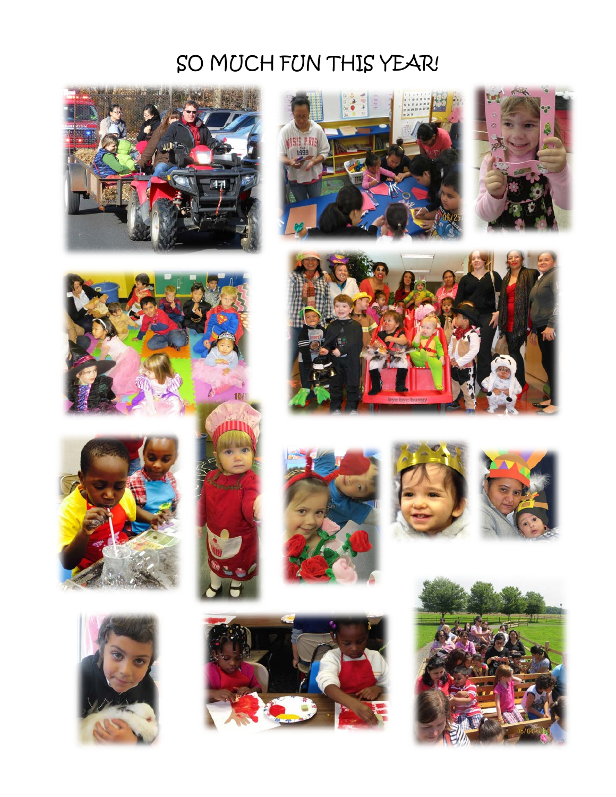## SO MUCH FUN THIS YEAR!